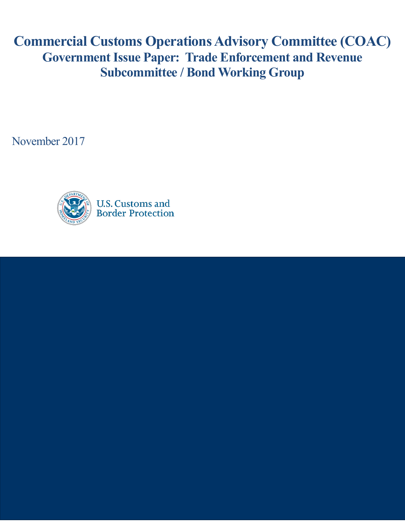**Commercial Customs Operations Advisory Committee (COAC) Government Issue Paper: Trade Enforcement and Revenue Subcommittee / Bond Working Group**

November 2017